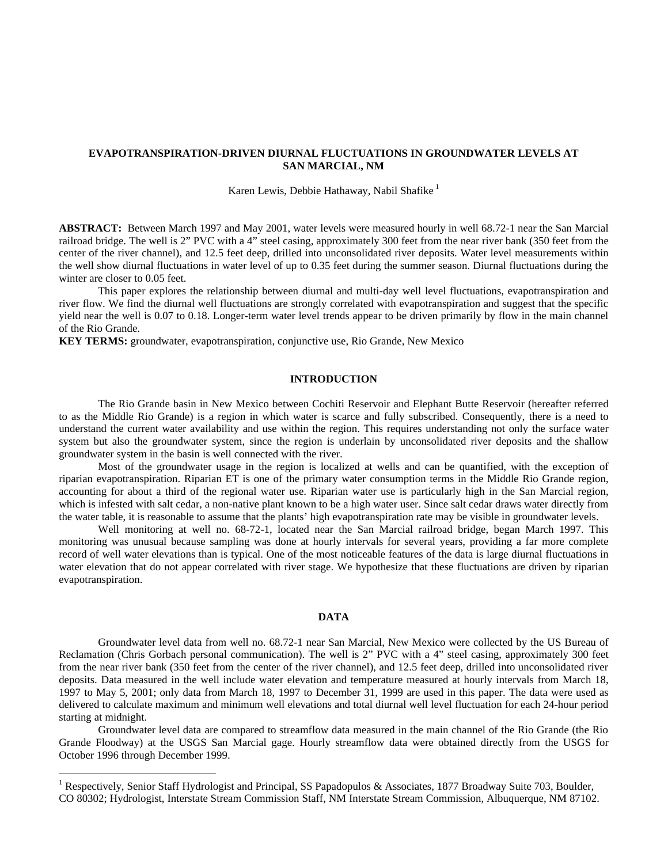# **EVAPOTRANSPIRATION-DRIVEN DIURNAL FLUCTUATIONS IN GROUNDWATER LEVELS AT SAN MARCIAL, NM**

Karen Lewis, Debbie Hathaway, Nabil Shafike<sup>1</sup>

**ABSTRACT:** Between March 1997 and May 2001, water levels were measured hourly in well 68.72-1 near the San Marcial railroad bridge. The well is 2" PVC with a 4" steel casing, approximately 300 feet from the near river bank (350 feet from the center of the river channel), and 12.5 feet deep, drilled into unconsolidated river deposits. Water level measurements within the well show diurnal fluctuations in water level of up to 0.35 feet during the summer season. Diurnal fluctuations during the winter are closer to 0.05 feet.

This paper explores the relationship between diurnal and multi-day well level fluctuations, evapotranspiration and river flow. We find the diurnal well fluctuations are strongly correlated with evapotranspiration and suggest that the specific yield near the well is 0.07 to 0.18. Longer-term water level trends appear to be driven primarily by flow in the main channel of the Rio Grande.

**KEY TERMS:** groundwater, evapotranspiration, conjunctive use, Rio Grande, New Mexico

# **INTRODUCTION**

The Rio Grande basin in New Mexico between Cochiti Reservoir and Elephant Butte Reservoir (hereafter referred to as the Middle Rio Grande) is a region in which water is scarce and fully subscribed. Consequently, there is a need to understand the current water availability and use within the region. This requires understanding not only the surface water system but also the groundwater system, since the region is underlain by unconsolidated river deposits and the shallow groundwater system in the basin is well connected with the river.

Most of the groundwater usage in the region is localized at wells and can be quantified, with the exception of riparian evapotranspiration. Riparian ET is one of the primary water consumption terms in the Middle Rio Grande region, accounting for about a third of the regional water use. Riparian water use is particularly high in the San Marcial region, which is infested with salt cedar, a non-native plant known to be a high water user. Since salt cedar draws water directly from the water table, it is reasonable to assume that the plants' high evapotranspiration rate may be visible in groundwater levels.

Well monitoring at well no. 68-72-1, located near the San Marcial railroad bridge, began March 1997. This monitoring was unusual because sampling was done at hourly intervals for several years, providing a far more complete record of well water elevations than is typical. One of the most noticeable features of the data is large diurnal fluctuations in water elevation that do not appear correlated with river stage. We hypothesize that these fluctuations are driven by riparian evapotranspiration.

# **DATA**

Groundwater level data from well no. 68.72-1 near San Marcial, New Mexico were collected by the US Bureau of Reclamation (Chris Gorbach personal communication). The well is 2" PVC with a 4" steel casing, approximately 300 feet from the near river bank (350 feet from the center of the river channel), and 12.5 feet deep, drilled into unconsolidated river deposits. Data measured in the well include water elevation and temperature measured at hourly intervals from March 18, 1997 to May 5, 2001; only data from March 18, 1997 to December 31, 1999 are used in this paper. The data were used as delivered to calculate maximum and minimum well elevations and total diurnal well level fluctuation for each 24-hour period starting at midnight.

Groundwater level data are compared to streamflow data measured in the main channel of the Rio Grande (the Rio Grande Floodway) at the USGS San Marcial gage. Hourly streamflow data were obtained directly from the USGS for October 1996 through December 1999.

1

<sup>1</sup> Respectively, Senior Staff Hydrologist and Principal, SS Papadopulos & Associates, 1877 Broadway Suite 703, Boulder, CO 80302; Hydrologist, Interstate Stream Commission Staff, NM Interstate Stream Commission, Albuquerque, NM 87102.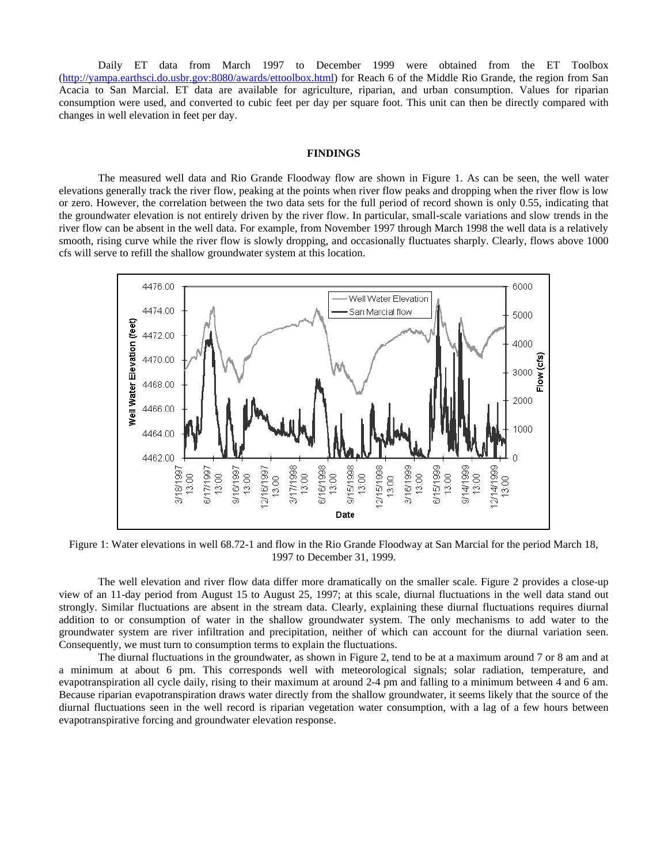Daily ET data from March 1997 to December 1999 were obtained from the ET Toolbox (http://yampa.earthsci.do.usbr.gov:8080/awards/ettoolbox.html) for Reach 6 of the Middle Rio Grande, the region from San Acacia to San Marcial. ET data are available for agriculture, riparian, and urban consumption. Values for riparian consumption were used, and converted to cubic feet per day per square foot. This unit can then be directly compared with changes in well elevation in feet per day.

#### **FINDINGS**

The measured well data and Rio Grande Floodway flow are shown in Figure 1. As can be seen, the well water elevations generally track the river flow, peaking at the points when river flow peaks and dropping when the river flow is low or zero. However, the correlation between the two data sets for the full period of record shown is only 0.55, indicating that the groundwater elevation is not entirely driven by the river flow. In particular, small-scale variations and slow trends in the river flow can be absent in the well data. For example, from November 1997 through March 1998 the well data is a relatively smooth, rising curve while the river flow is slowly dropping, and occasionally fluctuates sharply. Clearly, flows above 1000 cfs will serve to refill the shallow groundwater system at this location.



Figure 1: Water elevations in well 68.72-1 and flow in the Rio Grande Floodway at San Marcial for the period March 18, 1997 to December 31, 1999.

The well elevation and river flow data differ more dramatically on the smaller scale. Figure 2 provides a close-up view of an 11-day period from August 15 to August 25, 1997; at this scale, diurnal fluctuations in the well data stand out strongly. Similar fluctuations are absent in the stream data. Clearly, explaining these diurnal fluctuations requires diurnal addition to or consumption of water in the shallow groundwater system. The only mechanisms to add water to the groundwater system are river infiltration and precipitation, neither of which can account for the diurnal variation seen. Consequently, we must turn to consumption terms to explain the fluctuations.

The diurnal fluctuations in the groundwater, as shown in Figure 2, tend to be at a maximum around 7 or 8 am and at a minimum at about 6 pm. This corresponds well with meteorological signals; solar radiation, temperature, and evapotranspiration all cycle daily, rising to their maximum at around 2-4 pm and falling to a minimum between 4 and 6 am. Because riparian evapotranspiration draws water directly from the shallow groundwater, it seems likely that the source of the diurnal fluctuations seen in the well record is riparian vegetation water consumption, with a lag of a few hours between evapotranspirative forcing and groundwater elevation response.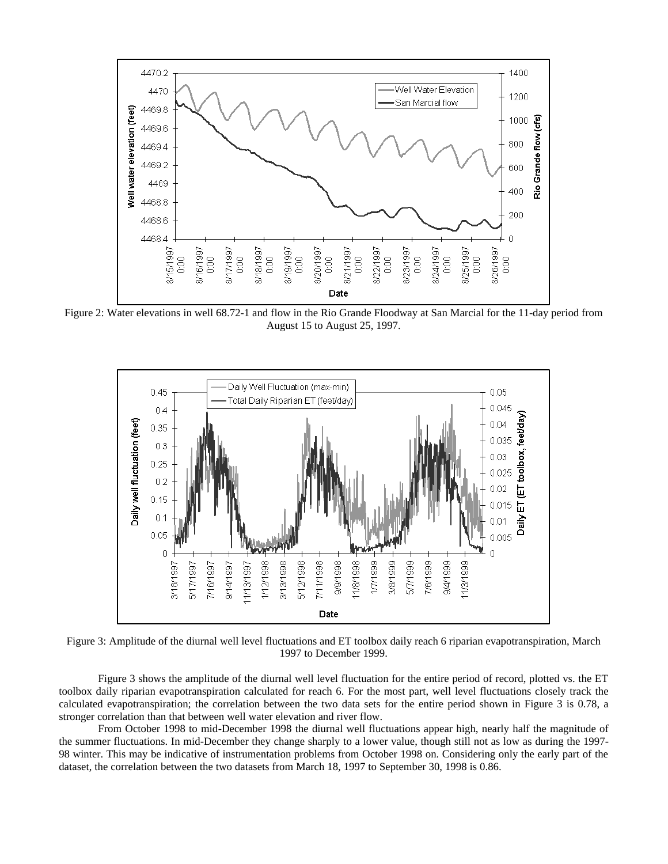

Figure 2: Water elevations in well 68.72-1 and flow in the Rio Grande Floodway at San Marcial for the 11-day period from August 15 to August 25, 1997.



Figure 3: Amplitude of the diurnal well level fluctuations and ET toolbox daily reach 6 riparian evapotranspiration, March 1997 to December 1999.

Figure 3 shows the amplitude of the diurnal well level fluctuation for the entire period of record, plotted vs. the ET toolbox daily riparian evapotranspiration calculated for reach 6. For the most part, well level fluctuations closely track the calculated evapotranspiration; the correlation between the two data sets for the entire period shown in Figure 3 is 0.78, a stronger correlation than that between well water elevation and river flow.

From October 1998 to mid-December 1998 the diurnal well fluctuations appear high, nearly half the magnitude of the summer fluctuations. In mid-December they change sharply to a lower value, though still not as low as during the 1997- 98 winter. This may be indicative of instrumentation problems from October 1998 on. Considering only the early part of the dataset, the correlation between the two datasets from March 18, 1997 to September 30, 1998 is 0.86.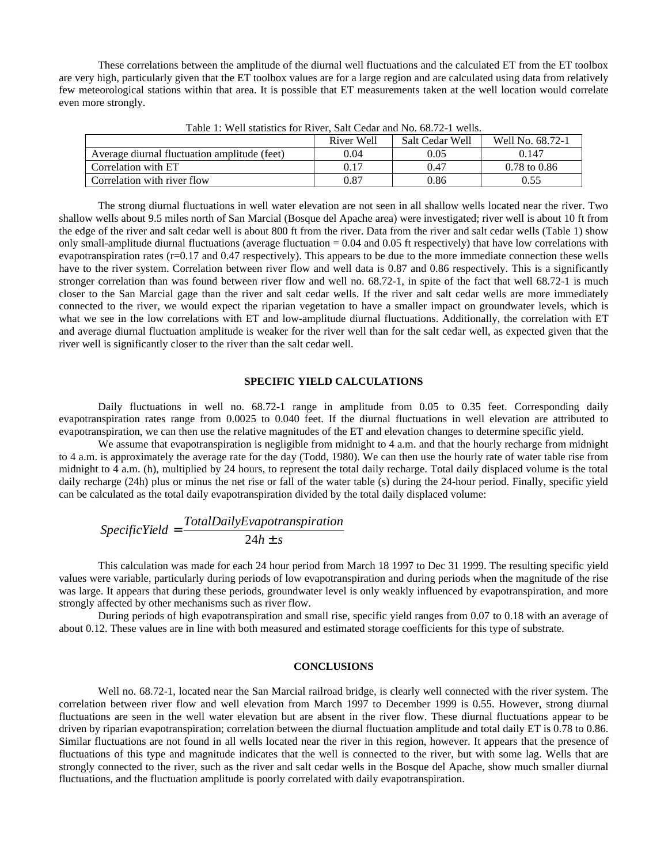These correlations between the amplitude of the diurnal well fluctuations and the calculated ET from the ET toolbox are very high, particularly given that the ET toolbox values are for a large region and are calculated using data from relatively few meteorological stations within that area. It is possible that ET measurements taken at the well location would correlate even more strongly.

|                                              | River Well | Salt Cedar Well | Well No. 68.72-1        |
|----------------------------------------------|------------|-----------------|-------------------------|
| Average diurnal fluctuation amplitude (feet) | 0.04       | 0.05            | 0.147                   |
| Correlation with ET                          | 0.17       | 0.47            | $0.78 \text{ to } 0.86$ |
| Correlation with river flow                  | 0.87       | 0.86            | 0.55                    |
|                                              |            |                 |                         |

Table 1: Well statistics for River, Salt Cedar and No. 68.72-1 wells.

The strong diurnal fluctuations in well water elevation are not seen in all shallow wells located near the river. Two shallow wells about 9.5 miles north of San Marcial (Bosque del Apache area) were investigated; river well is about 10 ft from the edge of the river and salt cedar well is about 800 ft from the river. Data from the river and salt cedar wells (Table 1) show only small-amplitude diurnal fluctuations (average fluctuation = 0.04 and 0.05 ft respectively) that have low correlations with evapotranspiration rates  $(r=0.17$  and  $0.47$  respectively). This appears to be due to the more immediate connection these wells have to the river system. Correlation between river flow and well data is 0.87 and 0.86 respectively. This is a significantly stronger correlation than was found between river flow and well no. 68.72-1, in spite of the fact that well 68.72-1 is much closer to the San Marcial gage than the river and salt cedar wells. If the river and salt cedar wells are more immediately connected to the river, we would expect the riparian vegetation to have a smaller impact on groundwater levels, which is what we see in the low correlations with ET and low-amplitude diurnal fluctuations. Additionally, the correlation with ET and average diurnal fluctuation amplitude is weaker for the river well than for the salt cedar well, as expected given that the river well is significantly closer to the river than the salt cedar well.

#### **SPECIFIC YIELD CALCULATIONS**

Daily fluctuations in well no. 68.72-1 range in amplitude from 0.05 to 0.35 feet. Corresponding daily evapotranspiration rates range from 0.0025 to 0.040 feet. If the diurnal fluctuations in well elevation are attributed to evapotranspiration, we can then use the relative magnitudes of the ET and elevation changes to determine specific yield.

We assume that evapotranspiration is negligible from midnight to 4 a.m. and that the hourly recharge from midnight to 4 a.m. is approximately the average rate for the day (Todd, 1980). We can then use the hourly rate of water table rise from midnight to 4 a.m. (h), multiplied by 24 hours, to represent the total daily recharge. Total daily displaced volume is the total daily recharge (24h) plus or minus the net rise or fall of the water table (s) during the 24-hour period. Finally, specific yield can be calculated as the total daily evapotranspiration divided by the total daily displaced volume:

$$
Specific Yield = \frac{TotalDailyEvaporation}{24h \pm s}
$$

This calculation was made for each 24 hour period from March 18 1997 to Dec 31 1999. The resulting specific yield values were variable, particularly during periods of low evapotranspiration and during periods when the magnitude of the rise was large. It appears that during these periods, groundwater level is only weakly influenced by evapotranspiration, and more strongly affected by other mechanisms such as river flow.

During periods of high evapotranspiration and small rise, specific yield ranges from 0.07 to 0.18 with an average of about 0.12. These values are in line with both measured and estimated storage coefficients for this type of substrate.

# **CONCLUSIONS**

Well no. 68.72-1, located near the San Marcial railroad bridge, is clearly well connected with the river system. The correlation between river flow and well elevation from March 1997 to December 1999 is 0.55. However, strong diurnal fluctuations are seen in the well water elevation but are absent in the river flow. These diurnal fluctuations appear to be driven by riparian evapotranspiration; correlation between the diurnal fluctuation amplitude and total daily ET is 0.78 to 0.86. Similar fluctuations are not found in all wells located near the river in this region, however. It appears that the presence of fluctuations of this type and magnitude indicates that the well is connected to the river, but with some lag. Wells that are strongly connected to the river, such as the river and salt cedar wells in the Bosque del Apache, show much smaller diurnal fluctuations, and the fluctuation amplitude is poorly correlated with daily evapotranspiration.